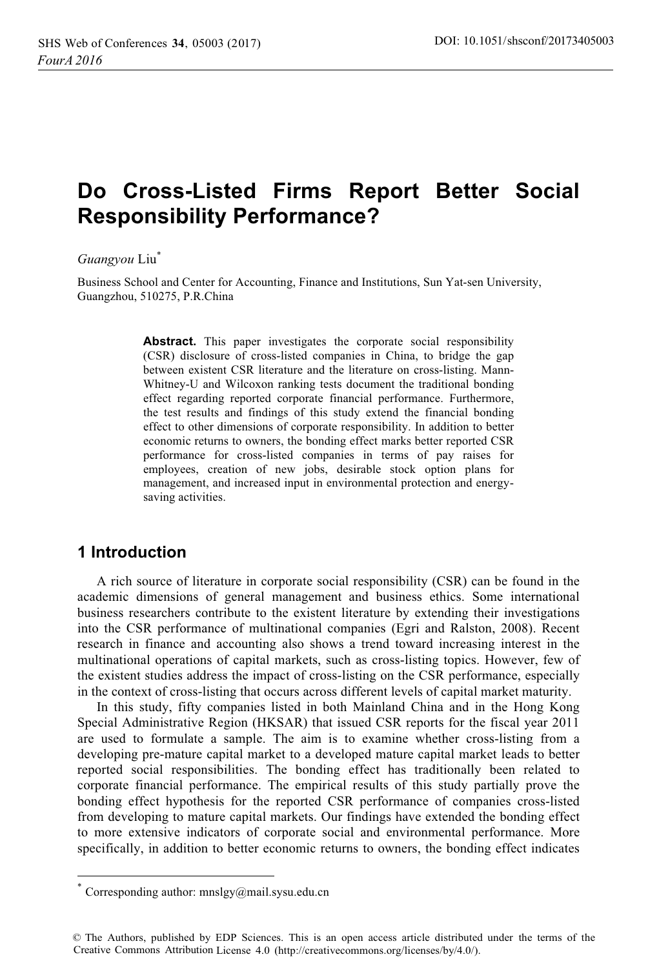# Do Cross-Listed Firms Report Better Social **Responsibility Performance?**

#### *Guangyou* Liu\*

Business School and Center for Accounting, Finance and Institutions, Sun Yat-sen University, Guangzhou, 510275, P.R.China

> **Abstract.** This paper investigates the corporate social responsibility (CSR) disclosure of cross-listed companies in China, to bridge the gap between existent CSR literature and the literature on cross-listing. Mann-Whitney-U and Wilcoxon ranking tests document the traditional bonding effect regarding reported corporate financial performance. Furthermore, the test results and findings of this study extend the financial bonding effect to other dimensions of corporate responsibility. In addition to better economic returns to owners, the bonding effect marks better reported CSR performance for cross-listed companies in terms of pay raises for employees, creation of new jobs, desirable stock option plans for management, and increased input in environmental protection and energysaving activities.

# **1** Introduction

 $\overline{a}$ 

A rich source of literature in corporate social responsibility (CSR) can be found in the academic dimensions of general management and business ethics. Some international business researchers contribute to the existent literature by extending their investigations into the CSR performance of multinational companies (Egri and Ralston, 2008). Recent research in finance and accounting also shows a trend toward increasing interest in the multinational operations of capital markets, such as cross-listing topics. However, few of the existent studies address the impact of cross-listing on the CSR performance, especially in the context of cross-listing that occurs across different levels of capital market maturity.

In this study, fifty companies listed in both Mainland China and in the Hong Kong Special Administrative Region (HKSAR) that issued CSR reports for the fiscal year 2011 are used to formulate a sample. The aim is to examine whether cross-listing from a developing pre-mature capital market to a developed mature capital market leads to better reported social responsibilities. The bonding effect has traditionally been related to corporate financial performance. The empirical results of this study partially prove the bonding effect hypothesis for the reported CSR performance of companies cross-listed from developing to mature capital markets. Our findings have extended the bonding effect to more extensive indicators of corporate social and environmental performance. More specifically, in addition to better economic returns to owners, the bonding effect indicates

Corresponding author: mnslgy@mail.sysu.edu.cn

<sup>©</sup> The Authors, published by EDP Sciences. This is an open access article distributed under the terms of the Creative Commons Attribution License 4.0 (http://creativecommons.org/licenses/by/4.0/).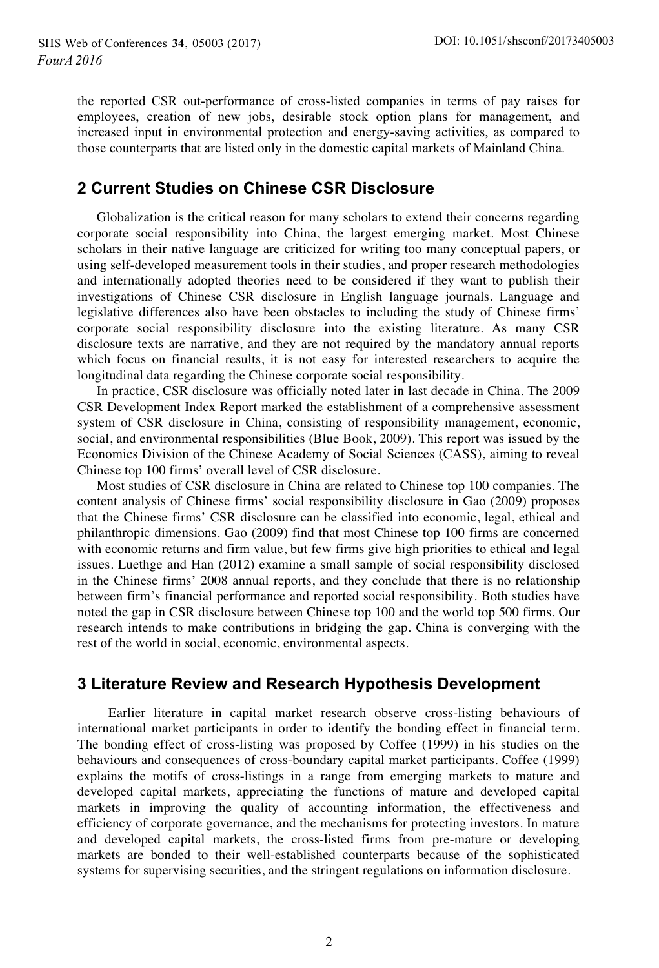the reported CSR out-performance of cross-listed companies in terms of pay raises for employees, creation of new jobs, desirable stock option plans for management, and increased input in environmental protection and energy-saving activities, as compared to those counterparts that are listed only in the domestic capital markets of Mainland China.

### **2 Current Studies on Chinese CSR Disclosure**

Globalization is the critical reason for many scholars to extend their concerns regarding corporate social responsibility into China, the largest emerging market. Most Chinese scholars in their native language are criticized for writing too many conceptual papers, or using self-developed measurement tools in their studies, and proper research methodologies and internationally adopted theories need to be considered if they want to publish their investigations of Chinese CSR disclosure in English language journals. Language and legislative differences also have been obstacles to including the study of Chinese firms' corporate social responsibility disclosure into the existing literature. As many CSR disclosure texts are narrative, and they are not required by the mandatory annual reports which focus on financial results, it is not easy for interested researchers to acquire the longitudinal data regarding the Chinese corporate social responsibility.

In practice, CSR disclosure was officially noted later in last decade in China. The 2009 CSR Development Index Report marked the establishment of a comprehensive assessment system of CSR disclosure in China, consisting of responsibility management, economic, social, and environmental responsibilities (Blue Book, 2009). This report was issued by the Economics Division of the Chinese Academy of Social Sciences (CASS), aiming to reveal Chinese top 100 firms' overall level of CSR disclosure.

Most studies of CSR disclosure in China are related to Chinese top 100 companies. The content analysis of Chinese firms' social responsibility disclosure in Gao (2009) proposes that the Chinese firms' CSR disclosure can be classified into economic, legal, ethical and philanthropic dimensions. Gao (2009) find that most Chinese top 100 firms are concerned with economic returns and firm value, but few firms give high priorities to ethical and legal issues. Luethge and Han (2012) examine a small sample of social responsibility disclosed in the Chinese firms' 2008 annual reports, and they conclude that there is no relationship between firm's financial performance and reported social responsibility. Both studies have noted the gap in CSR disclosure between Chinese top 100 and the world top 500 firms. Our research intends to make contributions in bridging the gap. China is converging with the rest of the world in social, economic, environmental aspects.

### 3 Literature Review and Research Hypothesis Development

Earlier literature in capital market research observe cross-listing behaviours of international market participants in order to identify the bonding effect in financial term. The bonding effect of cross-listing was proposed by Coffee (1999) in his studies on the behaviours and consequences of cross-boundary capital market participants. Coffee (1999) explains the motifs of cross-listings in a range from emerging markets to mature and developed capital markets, appreciating the functions of mature and developed capital markets in improving the quality of accounting information, the effectiveness and efficiency of corporate governance, and the mechanisms for protecting investors. In mature and developed capital markets, the cross-listed firms from pre-mature or developing markets are bonded to their well-established counterparts because of the sophisticated systems for supervising securities, and the stringent regulations on information disclosure.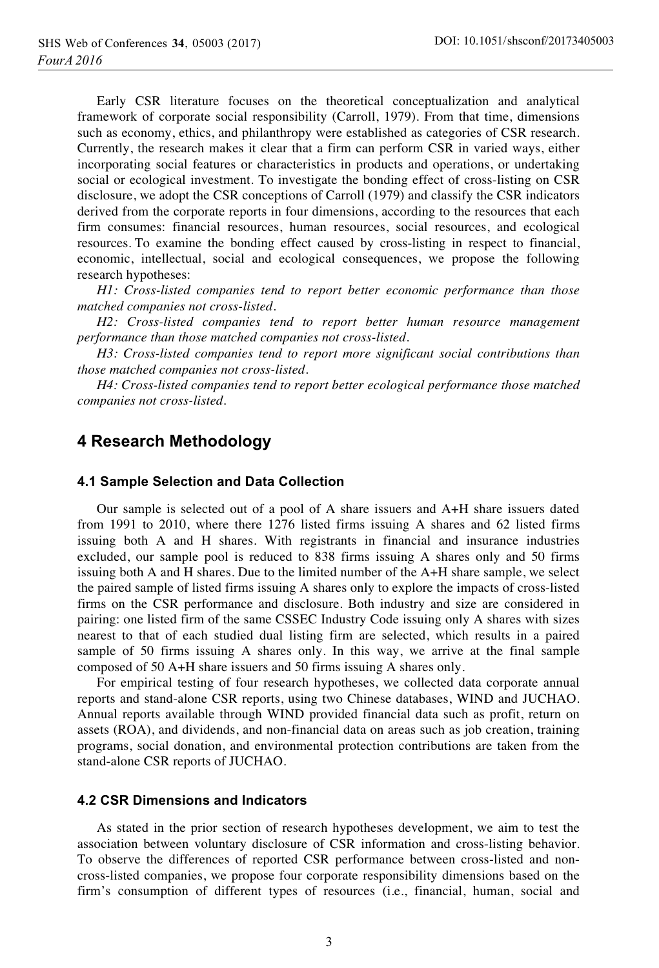Early CSR literature focuses on the theoretical conceptualization and analytical framework of corporate social responsibility (Carroll, 1979). From that time, dimensions such as economy, ethics, and philanthropy were established as categories of CSR research. Currently, the research makes it clear that a firm can perform CSR in varied ways, either incorporating social features or characteristics in products and operations, or undertaking social or ecological investment. To investigate the bonding effect of cross-listing on CSR disclosure, we adopt the CSR conceptions of Carroll (1979) and classify the CSR indicators derived from the corporate reports in four dimensions, according to the resources that each firm consumes: financial resources, human resources, social resources, and ecological resources. To examine the bonding effect caused by cross-listing in respect to financial, economic, intellectual, social and ecological consequences, we propose the following research hypotheses:

*H1: Cross-listed companies tend to report better economic performance than those matched companies not cross-listed.* 

*H2: Cross-listed companies tend to report better human resource management performance than those matched companies not cross-listed.* 

*H3: Cross-listed companies tend to report more significant social contributions than those matched companies not cross-listed.* 

*H4: Cross-listed companies tend to report better ecological performance those matched companies not cross-listed.* 

### 4 Research Methodology

#### 4.1 Sample Selection and Data Collection

Our sample is selected out of a pool of A share issuers and A+H share issuers dated from 1991 to 2010, where there 1276 listed firms issuing A shares and 62 listed firms issuing both A and H shares. With registrants in financial and insurance industries excluded, our sample pool is reduced to 838 firms issuing A shares only and 50 firms issuing both A and H shares. Due to the limited number of the A+H share sample, we select the paired sample of listed firms issuing A shares only to explore the impacts of cross-listed firms on the CSR performance and disclosure. Both industry and size are considered in pairing: one listed firm of the same CSSEC Industry Code issuing only A shares with sizes nearest to that of each studied dual listing firm are selected, which results in a paired sample of 50 firms issuing A shares only. In this way, we arrive at the final sample composed of 50 A+H share issuers and 50 firms issuing A shares only.

For empirical testing of four research hypotheses, we collected data corporate annual reports and stand-alone CSR reports, using two Chinese databases, WIND and JUCHAO. Annual reports available through WIND provided financial data such as profit, return on assets (ROA), and dividends, and non-financial data on areas such as job creation, training programs, social donation, and environmental protection contributions are taken from the stand-alone CSR reports of JUCHAO.

#### **4.2 CSR Dimensions and Indicators**

As stated in the prior section of research hypotheses development, we aim to test the association between voluntary disclosure of CSR information and cross-listing behavior. To observe the differences of reported CSR performance between cross-listed and noncross-listed companies, we propose four corporate responsibility dimensions based on the firm's consumption of different types of resources (i.e., financial, human, social and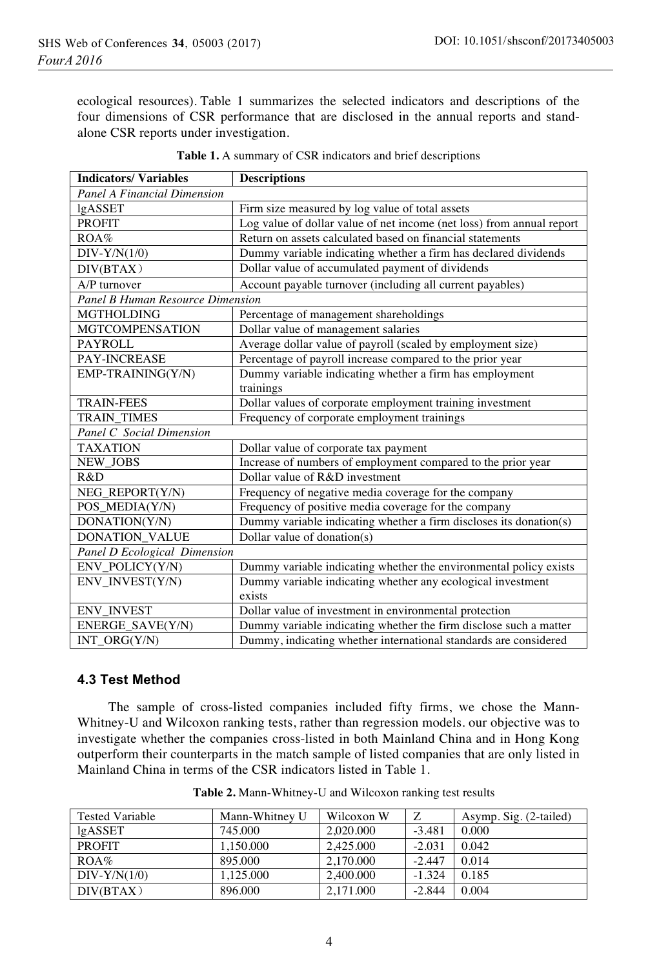ecological resources). Table 1 summarizes the selected indicators and descriptions of the four dimensions of CSR performance that are disclosed in the annual reports and standalone CSR reports under investigation.

| <b>Indicators/Variables</b>             | <b>Descriptions</b>                                                   |  |  |  |  |
|-----------------------------------------|-----------------------------------------------------------------------|--|--|--|--|
| <b>Panel A Financial Dimension</b>      |                                                                       |  |  |  |  |
| lgASSET                                 | Firm size measured by log value of total assets                       |  |  |  |  |
| <b>PROFIT</b>                           | Log value of dollar value of net income (net loss) from annual report |  |  |  |  |
| ROA%                                    | Return on assets calculated based on financial statements             |  |  |  |  |
| $DIV-Y/N(1/0)$                          | Dummy variable indicating whether a firm has declared dividends       |  |  |  |  |
| DIV(BTAX)                               | Dollar value of accumulated payment of dividends                      |  |  |  |  |
| A/P turnover                            | Account payable turnover (including all current payables)             |  |  |  |  |
| <b>Panel B Human Resource Dimension</b> |                                                                       |  |  |  |  |
| <b>MGTHOLDING</b>                       | Percentage of management shareholdings                                |  |  |  |  |
| <b>MGTCOMPENSATION</b>                  | Dollar value of management salaries                                   |  |  |  |  |
| <b>PAYROLL</b>                          | Average dollar value of payroll (scaled by employment size)           |  |  |  |  |
| <b>PAY-INCREASE</b>                     | Percentage of payroll increase compared to the prior year             |  |  |  |  |
| EMP-TRAINING(Y/N)                       | Dummy variable indicating whether a firm has employment               |  |  |  |  |
|                                         | trainings                                                             |  |  |  |  |
| <b>TRAIN-FEES</b>                       | Dollar values of corporate employment training investment             |  |  |  |  |
| <b>TRAIN TIMES</b>                      | Frequency of corporate employment trainings                           |  |  |  |  |
| Panel C Social Dimension                |                                                                       |  |  |  |  |
| <b>TAXATION</b>                         | Dollar value of corporate tax payment                                 |  |  |  |  |
| NEW_JOBS                                | Increase of numbers of employment compared to the prior year          |  |  |  |  |
| R&D                                     | Dollar value of R&D investment                                        |  |  |  |  |
| NEG_REPORT(Y/N)                         | Frequency of negative media coverage for the company                  |  |  |  |  |
| POS_MEDIA(Y/N)                          | Frequency of positive media coverage for the company                  |  |  |  |  |
| DONATION(Y/N)                           | Dummy variable indicating whether a firm discloses its donation(s)    |  |  |  |  |
| <b>DONATION VALUE</b>                   | Dollar value of donation(s)                                           |  |  |  |  |
| Panel D Ecological Dimension            |                                                                       |  |  |  |  |
| ENV_POLICY(Y/N)                         | Dummy variable indicating whether the environmental policy exists     |  |  |  |  |
| ENV INVEST(Y/N)                         | Dummy variable indicating whether any ecological investment           |  |  |  |  |
|                                         | exists                                                                |  |  |  |  |
| <b>ENV_INVEST</b>                       | Dollar value of investment in environmental protection                |  |  |  |  |
| ENERGE_SAVE(Y/N)                        | Dummy variable indicating whether the firm disclose such a matter     |  |  |  |  |
| $INT_ORG(Y/N)$                          | Dummy, indicating whether international standards are considered      |  |  |  |  |

| Table 1. A summary of CSR indicators and brief descriptions |  |
|-------------------------------------------------------------|--|
|-------------------------------------------------------------|--|

#### **4.3 Test Method**

The sample of cross-listed companies included fifty firms, we chose the Mann-Whitney-U and Wilcoxon ranking tests, rather than regression models. our objective was to investigate whether the companies cross-listed in both Mainland China and in Hong Kong outperform their counterparts in the match sample of listed companies that are only listed in Mainland China in terms of the CSR indicators listed in Table 1.

| <b>Tested Variable</b> | Mann-Whitney U | Wilcoxon W | Ζ        | Asymp. Sig. (2-tailed) |
|------------------------|----------------|------------|----------|------------------------|
| lgASSET                | 745.000        | 2.020.000  | $-3.481$ | 0.000                  |
| <b>PROFIT</b>          | 1.150.000      | 2.425.000  | $-2.031$ | 0.042                  |
| $ROA\%$                | 895.000        | 2.170.000  | $-2.447$ | 0.014                  |
| $DIV-Y/N(1/0)$         | 1.125.000      | 2,400,000  | $-1.324$ | 0.185                  |
| DIV(BTAX)              | 896.000        | 2.171.000  | $-2.844$ | 0.004                  |

**Table 2.** Mann-Whitney-U and Wilcoxon ranking test results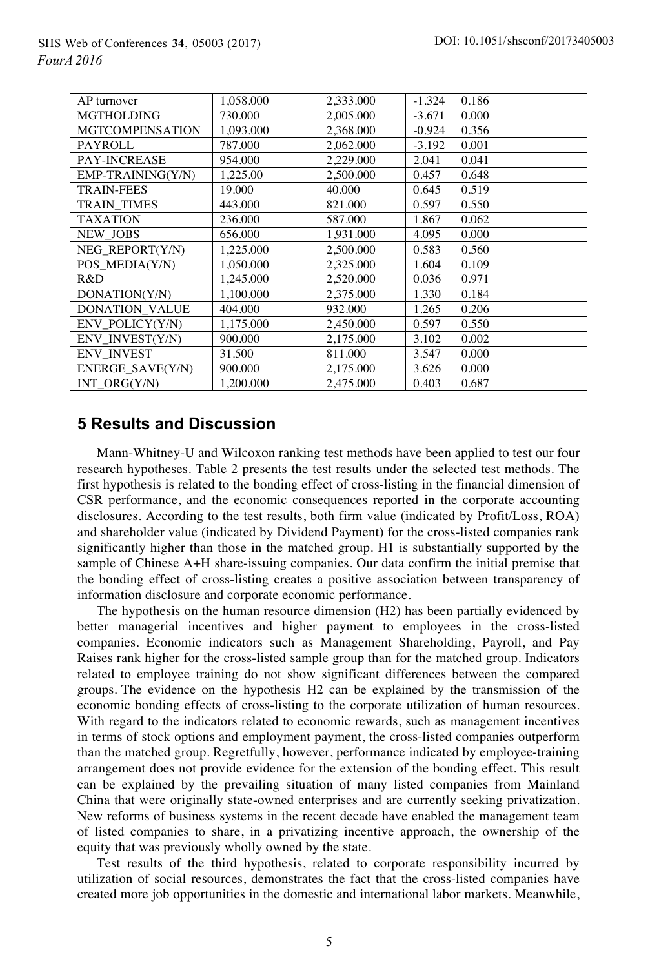| AP turnover           | 1,058.000 | 2,333,000 | $-1.324$ | 0.186 |
|-----------------------|-----------|-----------|----------|-------|
| <b>MGTHOLDING</b>     | 730.000   | 2,005.000 | $-3.671$ | 0.000 |
| MGTCOMPENSATION       | 1,093.000 | 2,368.000 | $-0.924$ | 0.356 |
| <b>PAYROLL</b>        | 787.000   | 2.062.000 | $-3.192$ | 0.001 |
| <b>PAY-INCREASE</b>   | 954.000   | 2,229.000 | 2.041    | 0.041 |
| EMP-TRAINING(Y/N)     | 1,225.00  | 2,500.000 | 0.457    | 0.648 |
| <b>TRAIN-FEES</b>     | 19.000    | 40.000    | 0.645    | 0.519 |
| TRAIN TIMES           | 443.000   | 821.000   | 0.597    | 0.550 |
| <b>TAXATION</b>       | 236.000   | 587.000   | 1.867    | 0.062 |
| <b>NEW JOBS</b>       | 656.000   | 1,931.000 | 4.095    | 0.000 |
| NEG REPORT(Y/N)       | 1,225.000 | 2,500.000 | 0.583    | 0.560 |
| POS_MEDIA(Y/N)        | 1,050.000 | 2,325.000 | 1.604    | 0.109 |
| R&D                   | 1,245.000 | 2.520.000 | 0.036    | 0.971 |
| DONATION(Y/N)         | 1,100.000 | 2.375.000 | 1.330    | 0.184 |
| <b>DONATION_VALUE</b> | 404.000   | 932.000   | 1.265    | 0.206 |
| ENV POLICY(Y/N)       | 1,175.000 | 2,450.000 | 0.597    | 0.550 |
| ENV INVEST(Y/N)       | 900.000   | 2,175,000 | 3.102    | 0.002 |
| <b>ENV INVEST</b>     | 31.500    | 811.000   | 3.547    | 0.000 |
| ENERGE SAVE(Y/N)      | 900.000   | 2,175.000 | 3.626    | 0.000 |
| INT $ORG(Y/N)$        | 1.200.000 | 2.475.000 | 0.403    | 0.687 |

# **5 Results and Discussion**

Mann-Whitney-U and Wilcoxon ranking test methods have been applied to test our four research hypotheses. Table 2 presents the test results under the selected test methods. The first hypothesis is related to the bonding effect of cross-listing in the financial dimension of CSR performance, and the economic consequences reported in the corporate accounting disclosures. According to the test results, both firm value (indicated by Profit/Loss, ROA) and shareholder value (indicated by Dividend Payment) for the cross-listed companies rank significantly higher than those in the matched group. H1 is substantially supported by the sample of Chinese A+H share-issuing companies. Our data confirm the initial premise that the bonding effect of cross-listing creates a positive association between transparency of information disclosure and corporate economic performance.

The hypothesis on the human resource dimension (H2) has been partially evidenced by better managerial incentives and higher payment to employees in the cross-listed companies. Economic indicators such as Management Shareholding, Payroll, and Pay Raises rank higher for the cross-listed sample group than for the matched group. Indicators related to employee training do not show significant differences between the compared groups. The evidence on the hypothesis H2 can be explained by the transmission of the economic bonding effects of cross-listing to the corporate utilization of human resources. With regard to the indicators related to economic rewards, such as management incentives in terms of stock options and employment payment, the cross-listed companies outperform than the matched group. Regretfully, however, performance indicated by employee-training arrangement does not provide evidence for the extension of the bonding effect. This result can be explained by the prevailing situation of many listed companies from Mainland China that were originally state-owned enterprises and are currently seeking privatization. New reforms of business systems in the recent decade have enabled the management team of listed companies to share, in a privatizing incentive approach, the ownership of the equity that was previously wholly owned by the state.

Test results of the third hypothesis, related to corporate responsibility incurred by utilization of social resources, demonstrates the fact that the cross-listed companies have created more job opportunities in the domestic and international labor markets. Meanwhile,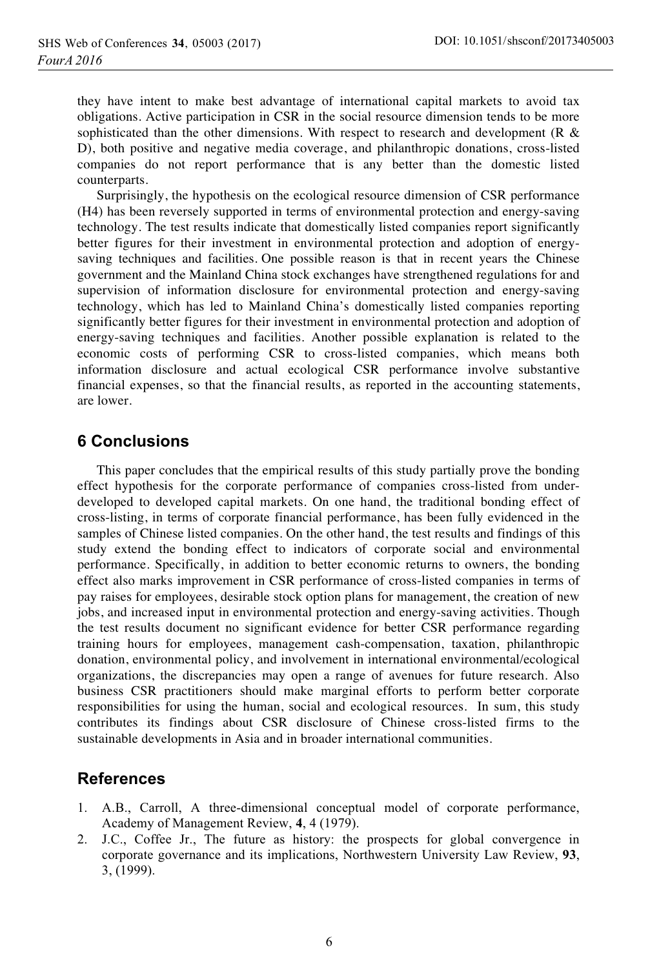they have intent to make best advantage of international capital markets to avoid tax obligations. Active participation in CSR in the social resource dimension tends to be more sophisticated than the other dimensions. With respect to research and development (R  $\&$ D), both positive and negative media coverage, and philanthropic donations, cross-listed companies do not report performance that is any better than the domestic listed counterparts.

Surprisingly, the hypothesis on the ecological resource dimension of CSR performance (H4) has been reversely supported in terms of environmental protection and energy-saving technology. The test results indicate that domestically listed companies report significantly better figures for their investment in environmental protection and adoption of energysaving techniques and facilities. One possible reason is that in recent years the Chinese government and the Mainland China stock exchanges have strengthened regulations for and supervision of information disclosure for environmental protection and energy-saving technology, which has led to Mainland China's domestically listed companies reporting significantly better figures for their investment in environmental protection and adoption of energy-saving techniques and facilities. Another possible explanation is related to the economic costs of performing CSR to cross-listed companies, which means both information disclosure and actual ecological CSR performance involve substantive financial expenses, so that the financial results, as reported in the accounting statements, are lower.

### **6 Conclusions**

This paper concludes that the empirical results of this study partially prove the bonding effect hypothesis for the corporate performance of companies cross-listed from underdeveloped to developed capital markets. On one hand, the traditional bonding effect of cross-listing, in terms of corporate financial performance, has been fully evidenced in the samples of Chinese listed companies. On the other hand, the test results and findings of this study extend the bonding effect to indicators of corporate social and environmental performance. Specifically, in addition to better economic returns to owners, the bonding effect also marks improvement in CSR performance of cross-listed companies in terms of pay raises for employees, desirable stock option plans for management, the creation of new jobs, and increased input in environmental protection and energy-saving activities. Though the test results document no significant evidence for better CSR performance regarding training hours for employees, management cash-compensation, taxation, philanthropic donation, environmental policy, and involvement in international environmental/ecological organizations, the discrepancies may open a range of avenues for future research. Also business CSR practitioners should make marginal efforts to perform better corporate responsibilities for using the human, social and ecological resources. In sum, this study contributes its findings about CSR disclosure of Chinese cross-listed firms to the sustainable developments in Asia and in broader international communities.

### 

- 1. A.B., Carroll, A three-dimensional conceptual model of corporate performance, Academy of Management Review, **4**, 4 (1979).
- 2. J.C., Coffee Jr., The future as history: the prospects for global convergence in corporate governance and its implications, Northwestern University Law Review, **93**, 3, (1999).